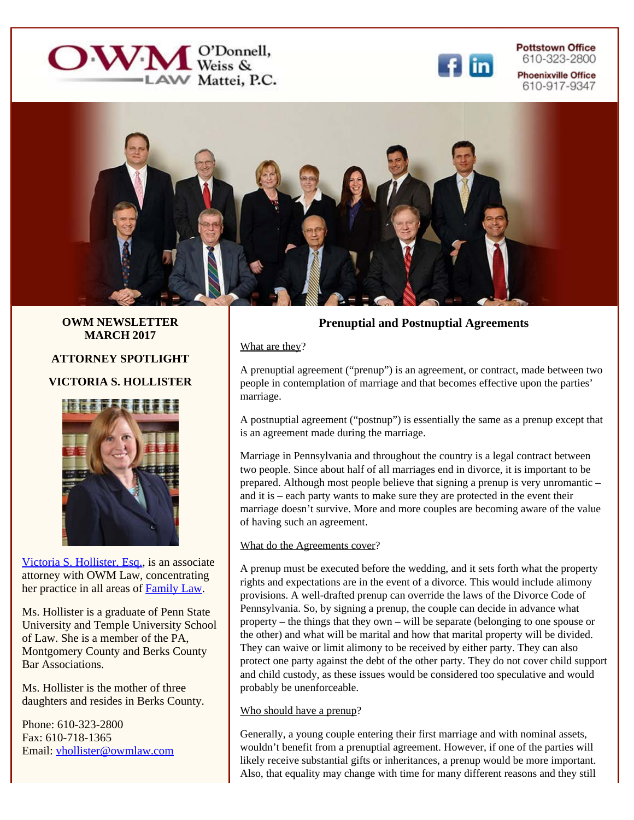



**Pottstown Office** 610-323-2800 **Phoenixville Office** 610-917-9347



**OWM NEWSLETTER MARCH 2017**

**ATTORNEY SPOTLIGHT**

# **VICTORIA S. HOLLISTER**



[Victoria S. Hollister, Esq.](http://owmlaw.com/attorneys/victoria-hollister.php), is an associate attorney with OWM Law, concentrating her practice in all areas of [Family Law](http://owmlaw.com/family-law.php).

Ms. Hollister is a graduate of Penn State University and Temple University School of Law. She is a member of the PA, Montgomery County and Berks County Bar Associations.

Ms. Hollister is the mother of three daughters and resides in Berks County.

Phone: 610-323-2800 Fax: 610-718-1365 Email: [vhollister@owmlaw.com](mailto:vhollister@owmlaw.com)

# **Prenuptial and Postnuptial Agreements**

What are they?

A prenuptial agreement ("prenup") is an agreement, or contract, made between two people in contemplation of marriage and that becomes effective upon the parties' marriage.

A postnuptial agreement ("postnup") is essentially the same as a prenup except that is an agreement made during the marriage.

Marriage in Pennsylvania and throughout the country is a legal contract between two people. Since about half of all marriages end in divorce, it is important to be prepared. Although most people believe that signing a prenup is very unromantic – and it is – each party wants to make sure they are protected in the event their marriage doesn't survive. More and more couples are becoming aware of the value of having such an agreement.

#### What do the Agreements cover?

A prenup must be executed before the wedding, and it sets forth what the property rights and expectations are in the event of a divorce. This would include alimony provisions. A well-drafted prenup can override the laws of the Divorce Code of Pennsylvania. So, by signing a prenup, the couple can decide in advance what property – the things that they own – will be separate (belonging to one spouse or the other) and what will be marital and how that marital property will be divided. They can waive or limit alimony to be received by either party. They can also protect one party against the debt of the other party. They do not cover child support and child custody, as these issues would be considered too speculative and would probably be unenforceable.

## Who should have a prenup?

Generally, a young couple entering their first marriage and with nominal assets, wouldn't benefit from a prenuptial agreement. However, if one of the parties will likely receive substantial gifts or inheritances, a prenup would be more important. Also, that equality may change with time for many different reasons and they still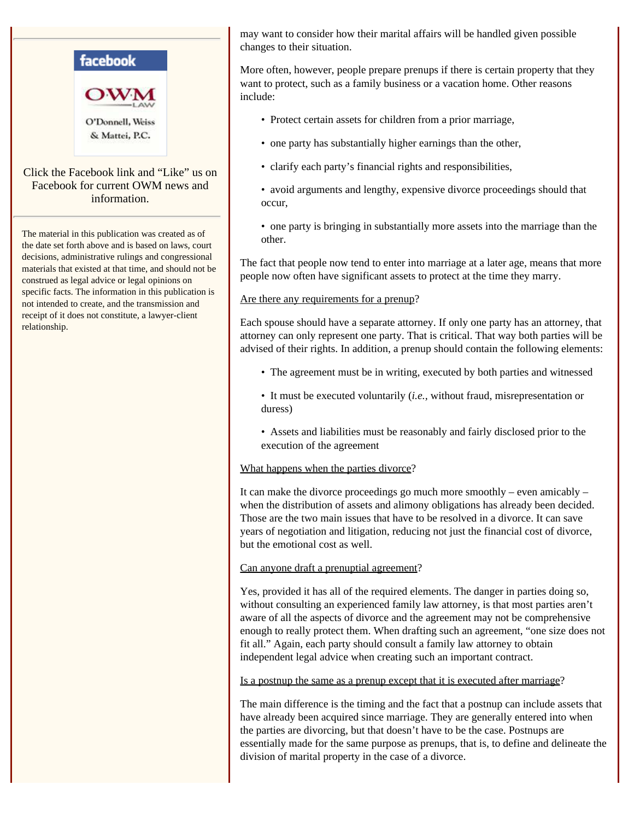

The material in this publication was created as of the date set forth above and is based on laws, court decisions, administrative rulings and congressional materials that existed at that time, and should not be construed as legal advice or legal opinions on specific facts. The information in this publication is not intended to create, and the transmission and receipt of it does not constitute, a lawyer-client relationship.

may want to consider how their marital affairs will be handled given possible changes to their situation.

More often, however, people prepare prenups if there is certain property that they want to protect, such as a family business or a vacation home. Other reasons include:

- Protect certain assets for children from a prior marriage,
- one party has substantially higher earnings than the other,
- clarify each party's financial rights and responsibilities,
- avoid arguments and lengthy, expensive divorce proceedings should that occur,
- one party is bringing in substantially more assets into the marriage than the other.

The fact that people now tend to enter into marriage at a later age, means that more people now often have significant assets to protect at the time they marry.

#### Are there any requirements for a prenup?

Each spouse should have a separate attorney. If only one party has an attorney, that attorney can only represent one party. That is critical. That way both parties will be advised of their rights. In addition, a prenup should contain the following elements:

- The agreement must be in writing, executed by both parties and witnessed
- It must be executed voluntarily (*i.e.,* without fraud, misrepresentation or duress)
- Assets and liabilities must be reasonably and fairly disclosed prior to the execution of the agreement

What happens when the parties divorce?

It can make the divorce proceedings go much more smoothly – even amicably – when the distribution of assets and alimony obligations has already been decided. Those are the two main issues that have to be resolved in a divorce. It can save years of negotiation and litigation, reducing not just the financial cost of divorce, but the emotional cost as well.

## Can anyone draft a prenuptial agreement?

Yes, provided it has all of the required elements. The danger in parties doing so, without consulting an experienced family law attorney, is that most parties aren't aware of all the aspects of divorce and the agreement may not be comprehensive enough to really protect them. When drafting such an agreement, "one size does not fit all." Again, each party should consult a family law attorney to obtain independent legal advice when creating such an important contract.

Is a postnup the same as a prenup except that it is executed after marriage?

The main difference is the timing and the fact that a postnup can include assets that have already been acquired since marriage. They are generally entered into when the parties are divorcing, but that doesn't have to be the case. Postnups are essentially made for the same purpose as prenups, that is, to define and delineate the division of marital property in the case of a divorce.